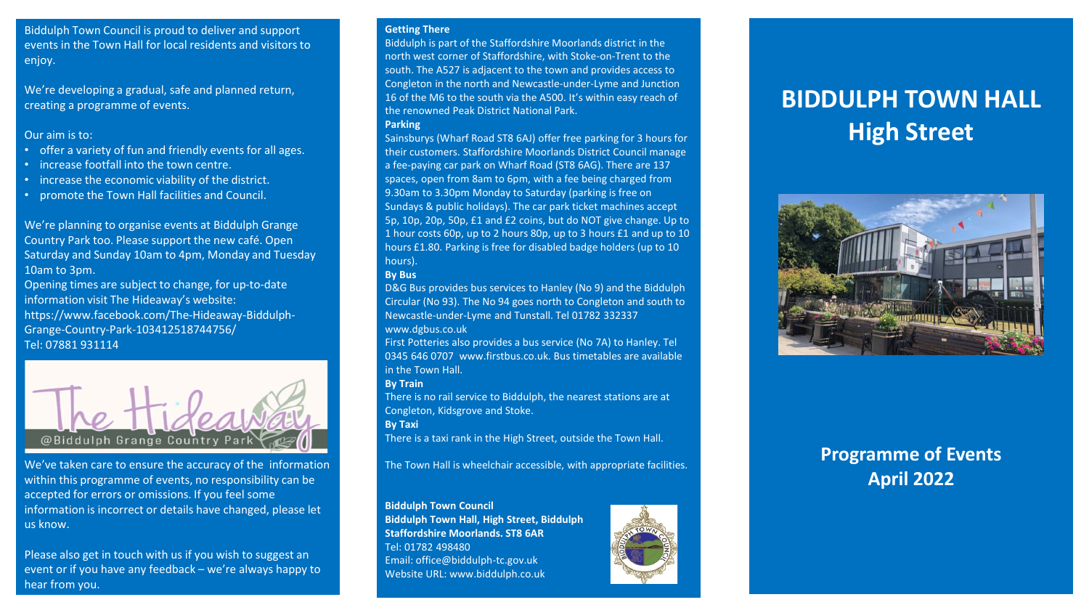Biddulph Town Council is proud to deliver and support events in the Town Hall for local residents and visitors to enjoy.

We're developing a gradual, safe and planned return, creating a programme of events.

## Our aim is to:

- offer a variety of fun and friendly events for all ages.
- increase footfall into the town centre.
- increase the economic viability of the district.
- promote the Town Hall facilities and Council.

We're planning to organise events at Biddulph Grange Country Park too. Please support the new café. Open Saturday and Sunday 10am to 4pm, Monday and Tuesday 10am to 3pm.

Opening times are subject to change, for up-to-date information visit The Hideaway's website: https://www.facebook.com/The-Hideaway-Biddulph-Grange-Country-Park-103412518744756/ Tel: 07881 931114



We've taken care to ensure the accuracy of the information within this programme of events, no responsibility can be accepted for errors or omissions. If you feel some information is incorrect or details have changed, please let us know.

Please also get in touch with us if you wish to suggest an event or if you have any feedback – we're always happy to hear from you.

#### **Getting There**

Biddulph is part of the Staffordshire Moorlands district in the north west corner of Staffordshire, with Stoke-on-Trent to the south. The A527 is adjacent to the town and provides access to Congleton in the north and Newcastle-under-Lyme and Junction 16 of the M6 to the south via the A500. It's within easy reach of the renowned Peak District National Park. **Parking** 

Sainsburys (Wharf Road ST8 6AJ) offer free parking for 3 hours for their customers. Staffordshire Moorlands District Council manage a fee-paying car park on Wharf Road (ST8 6AG). There are 137 spaces, open from 8am to 6pm, with a fee being charged from 9.30am to 3.30pm Monday to Saturday (parking is free on Sundays & public holidays). The car park ticket machines accept 5p, 10p, 20p, 50p, £1 and £2 coins, but do NOT give change. Up to 1 hour costs 60p, up to 2 hours 80p, up to 3 hours £1 and up to 10 hours £1.80. Parking is free for disabled badge holders (up to 10 hours).

# **By Bus**

D&G Bus provides bus services to Hanley (No 9) and the Biddulph Circular (No 93). The No 94 goes north to Congleton and south to Newcastle-under-Lyme and Tunstall. Tel 01782 332337 www.dgbus.co.uk

First Potteries also provides a bus service (No 7A) to Hanley. Tel 0345 646 0707 www.firstbus.co.uk. Bus timetables are available in the Town Hall.

# **By Train**

There is no rail service to Biddulph, the nearest stations are at Congleton, Kidsgrove and Stoke.

**By Taxi** 

There is a taxi rank in the High Street, outside the Town Hall.

The Town Hall is wheelchair accessible, with appropriate facilities.

# **Biddulph Town Council**

**Biddulph Town Hall, High Street, Biddulph Staffordshire Moorlands. ST8 6AR**  Tel: 01782 498480 Email: office@biddulph-tc.gov.uk Website URL: www.biddulph.co.uk



# **BIDDULPH TOWN HALL High Street**



# **Programme of Events April 2022**